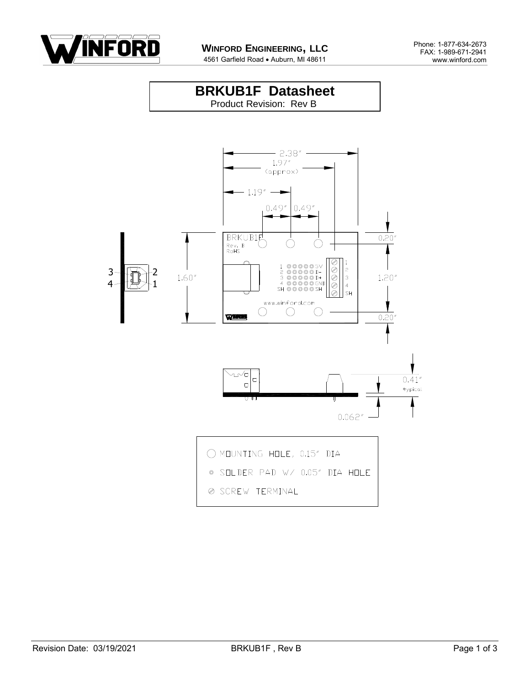

4561 Garfield Road . Auburn, MI 48611

#### **BRKUB1F Datasheet** Product Revision: Rev B

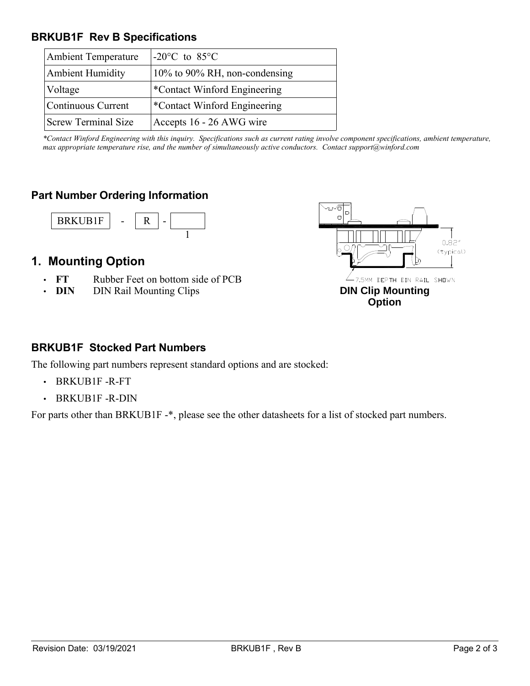### **BRKUB1F Rev B Specifications**

| <b>Ambient Temperature</b> | $-20^{\circ}$ C to 85 $^{\circ}$ C |
|----------------------------|------------------------------------|
| <b>Ambient Humidity</b>    | 10% to 90% RH, non-condensing      |
| Voltage                    | *Contact Winford Engineering       |
| Continuous Current         | *Contact Winford Engineering       |
| <b>Screw Terminal Size</b> | Accepts 16 - 26 AWG wire           |

*\*Contact Winford Engineering with this inquiry. Specifications such as current rating involve component specifications, ambient temperature, max appropriate temperature rise, and the number of simultaneously active conductors. Contact support@winford.com*

### **Part Number Ordering Information**



# **1. Mounting Option**

- **FT** Rubber Feet on bottom side of PCB
- **DIN** DIN Rail Mounting Clips



### **BRKUB1F Stocked Part Numbers**

The following part numbers represent standard options and are stocked:

- BRKUB1F -R-FT
- BRKUB1F -R-DIN

For parts other than BRKUB1F -\*, please see the other datasheets for a list of stocked part numbers.